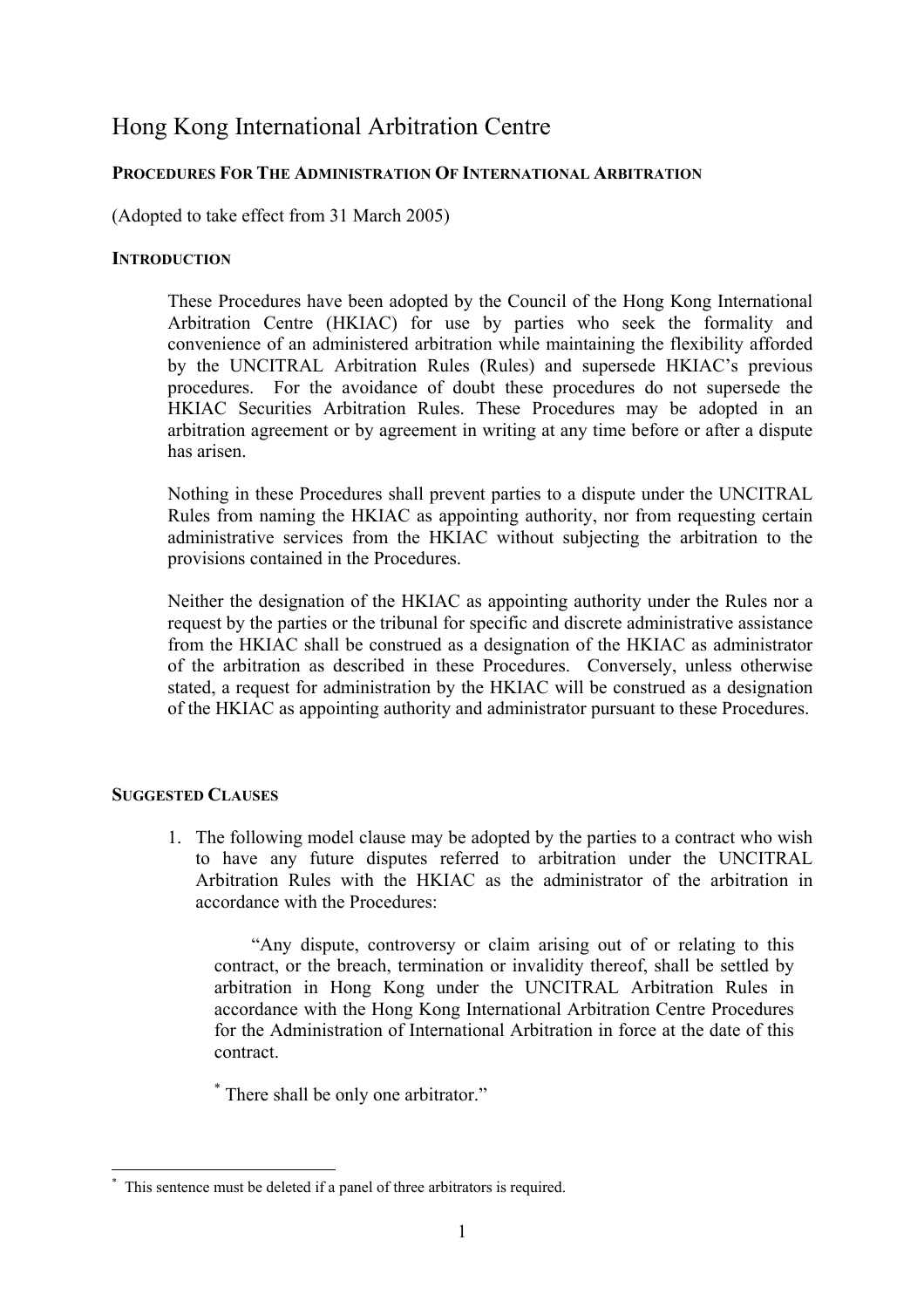# Hong Kong International Arbitration Centre

# **PROCEDURES FOR THE ADMINISTRATION OF INTERNATIONAL ARBITRATION**

(Adopted to take effect from 31 March 2005)

## **INTRODUCTION**

These Procedures have been adopted by the Council of the Hong Kong International Arbitration Centre (HKIAC) for use by parties who seek the formality and convenience of an administered arbitration while maintaining the flexibility afforded by the UNCITRAL Arbitration Rules (Rules) and supersede HKIAC's previous procedures. For the avoidance of doubt these procedures do not supersede the HKIAC Securities Arbitration Rules. These Procedures may be adopted in an arbitration agreement or by agreement in writing at any time before or after a dispute has arisen.

Nothing in these Procedures shall prevent parties to a dispute under the UNCITRAL Rules from naming the HKIAC as appointing authority, nor from requesting certain administrative services from the HKIAC without subjecting the arbitration to the provisions contained in the Procedures.

Neither the designation of the HKIAC as appointing authority under the Rules nor a request by the parties or the tribunal for specific and discrete administrative assistance from the HKIAC shall be construed as a designation of the HKIAC as administrator of the arbitration as described in these Procedures. Conversely, unless otherwise stated, a request for administration by the HKIAC will be construed as a designation of the HKIAC as appointing authority and administrator pursuant to these Procedures.

## **SUGGESTED CLAUSES**

 $\overline{a}$ 

1. The following model clause may be adopted by the parties to a contract who wish to have any future disputes referred to arbitration under the UNCITRAL Arbitration Rules with the HKIAC as the administrator of the arbitration in accordance with the Procedures:

"Any dispute, controversy or claim arising out of or relating to this contract, or the breach, termination or invalidity thereof, shall be settled by arbitration in Hong Kong under the UNCITRAL Arbitration Rules in accordance with the Hong Kong International Arbitration Centre Procedures for the Administration of International Arbitration in force at the date of this contract.

\* There shall be only one arbitrator."

<span id="page-0-0"></span><sup>\*</sup> This sentence must be deleted if a panel of three arbitrators is required.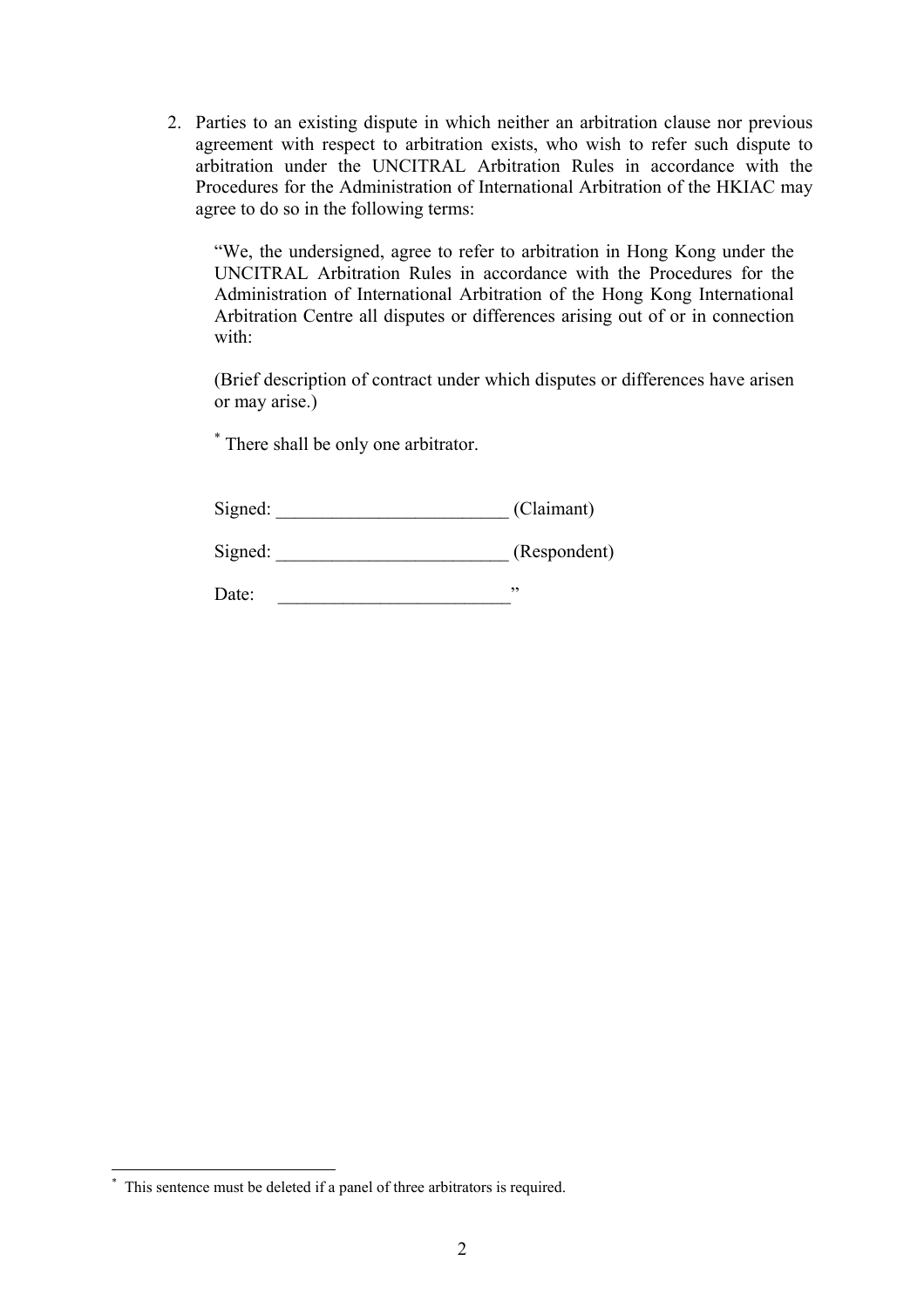2. Parties to an existing dispute in which neither an arbitration clause nor previous agreement with respect to arbitration exists, who wish to refer such dispute to arbitration under the UNCITRAL Arbitration Rules in accordance with the Procedures for the Administration of International Arbitration of the HKIAC may agree to do so in the following terms:

"We, the undersigned, agree to refer to arbitration in Hong Kong under the UNCITRAL Arbitration Rules in accordance with the Procedures for the Administration of International Arbitration of the Hong Kong International Arbitration Centre all disputes or differences arising out of or in connection with:

(Brief description of contract under which disputes or differences have arisen or may arise.)

[\\*](#page-1-0) There shall be only one arbitrator.

| Signed: | (Claimant) |
|---------|------------|
|---------|------------|

Signed: \_\_\_\_\_\_\_\_\_\_\_\_\_\_\_\_\_\_\_\_\_\_\_\_\_\_\_\_\_\_\_\_\_\_ (Respondent)

Date: \_\_\_\_\_\_\_\_\_\_\_\_\_\_\_\_\_\_\_\_\_\_\_\_\_"

 $\overline{a}$ 

<span id="page-1-0"></span><sup>\*</sup> This sentence must be deleted if a panel of three arbitrators is required.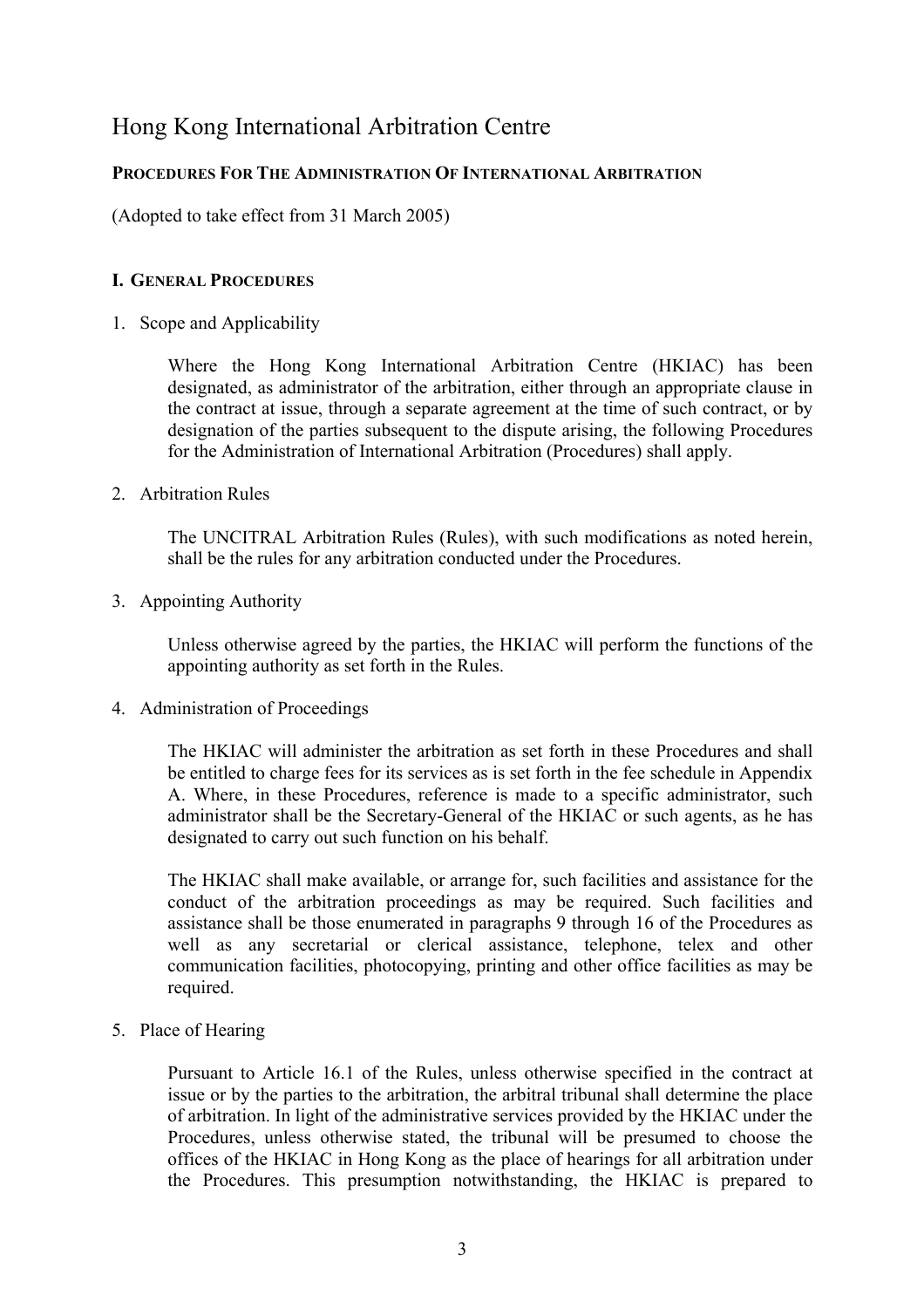# Hong Kong International Arbitration Centre

# **PROCEDURES FOR THE ADMINISTRATION OF INTERNATIONAL ARBITRATION**

(Adopted to take effect from 31 March 2005)

## **I. GENERAL PROCEDURES**

1. Scope and Applicability

Where the Hong Kong International Arbitration Centre (HKIAC) has been designated, as administrator of the arbitration, either through an appropriate clause in the contract at issue, through a separate agreement at the time of such contract, or by designation of the parties subsequent to the dispute arising, the following Procedures for the Administration of International Arbitration (Procedures) shall apply.

2. Arbitration Rules

The UNCITRAL Arbitration Rules (Rules), with such modifications as noted herein, shall be the rules for any arbitration conducted under the Procedures.

3. Appointing Authority

Unless otherwise agreed by the parties, the HKIAC will perform the functions of the appointing authority as set forth in the Rules.

4. Administration of Proceedings

The HKIAC will administer the arbitration as set forth in these Procedures and shall be entitled to charge fees for its services as is set forth in the fee schedule in Appendix A. Where, in these Procedures, reference is made to a specific administrator, such administrator shall be the Secretary-General of the HKIAC or such agents, as he has designated to carry out such function on his behalf.

The HKIAC shall make available, or arrange for, such facilities and assistance for the conduct of the arbitration proceedings as may be required. Such facilities and assistance shall be those enumerated in paragraphs 9 through 16 of the Procedures as well as any secretarial or clerical assistance, telephone, telex and other communication facilities, photocopying, printing and other office facilities as may be required.

5. Place of Hearing

Pursuant to Article 16.1 of the Rules, unless otherwise specified in the contract at issue or by the parties to the arbitration, the arbitral tribunal shall determine the place of arbitration. In light of the administrative services provided by the HKIAC under the Procedures, unless otherwise stated, the tribunal will be presumed to choose the offices of the HKIAC in Hong Kong as the place of hearings for all arbitration under the Procedures. This presumption notwithstanding, the HKIAC is prepared to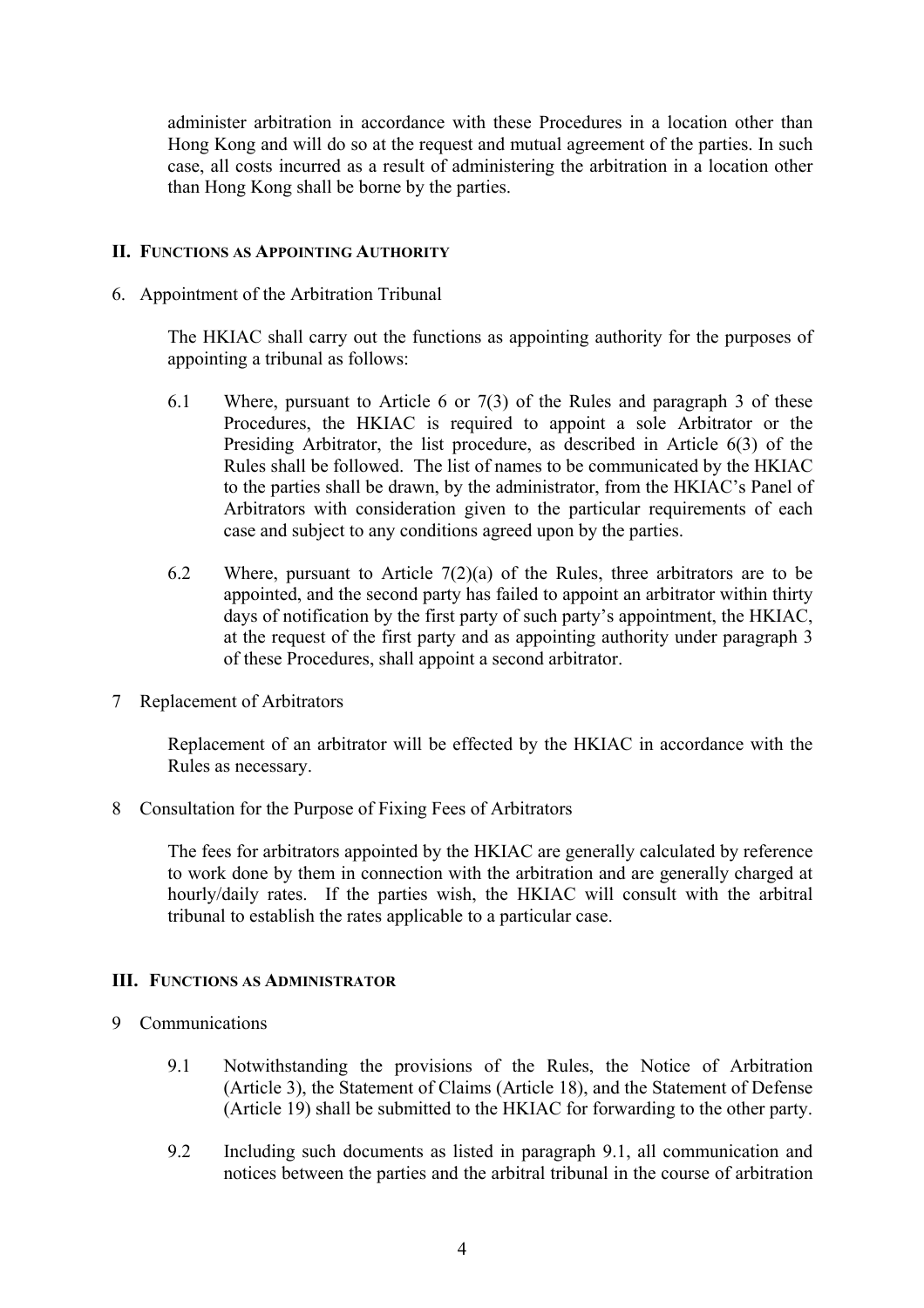administer arbitration in accordance with these Procedures in a location other than Hong Kong and will do so at the request and mutual agreement of the parties. In such case, all costs incurred as a result of administering the arbitration in a location other than Hong Kong shall be borne by the parties.

## **II. FUNCTIONS AS APPOINTING AUTHORITY**

6. Appointment of the Arbitration Tribunal

The HKIAC shall carry out the functions as appointing authority for the purposes of appointing a tribunal as follows:

- 6.1 Where, pursuant to Article 6 or 7(3) of the Rules and paragraph 3 of these Procedures, the HKIAC is required to appoint a sole Arbitrator or the Presiding Arbitrator, the list procedure, as described in Article 6(3) of the Rules shall be followed. The list of names to be communicated by the HKIAC to the parties shall be drawn, by the administrator, from the HKIAC's Panel of Arbitrators with consideration given to the particular requirements of each case and subject to any conditions agreed upon by the parties.
- 6.2 Where, pursuant to Article  $7(2)(a)$  of the Rules, three arbitrators are to be appointed, and the second party has failed to appoint an arbitrator within thirty days of notification by the first party of such party's appointment, the HKIAC, at the request of the first party and as appointing authority under paragraph 3 of these Procedures, shall appoint a second arbitrator.
- 7 Replacement of Arbitrators

Replacement of an arbitrator will be effected by the HKIAC in accordance with the Rules as necessary.

8 Consultation for the Purpose of Fixing Fees of Arbitrators

The fees for arbitrators appointed by the HKIAC are generally calculated by reference to work done by them in connection with the arbitration and are generally charged at hourly/daily rates. If the parties wish, the HKIAC will consult with the arbitral tribunal to establish the rates applicable to a particular case.

#### **III. FUNCTIONS AS ADMINISTRATOR**

- 9 Communications
	- 9.1 Notwithstanding the provisions of the Rules, the Notice of Arbitration (Article 3), the Statement of Claims (Article 18), and the Statement of Defense (Article 19) shall be submitted to the HKIAC for forwarding to the other party.
	- 9.2 Including such documents as listed in paragraph 9.1, all communication and notices between the parties and the arbitral tribunal in the course of arbitration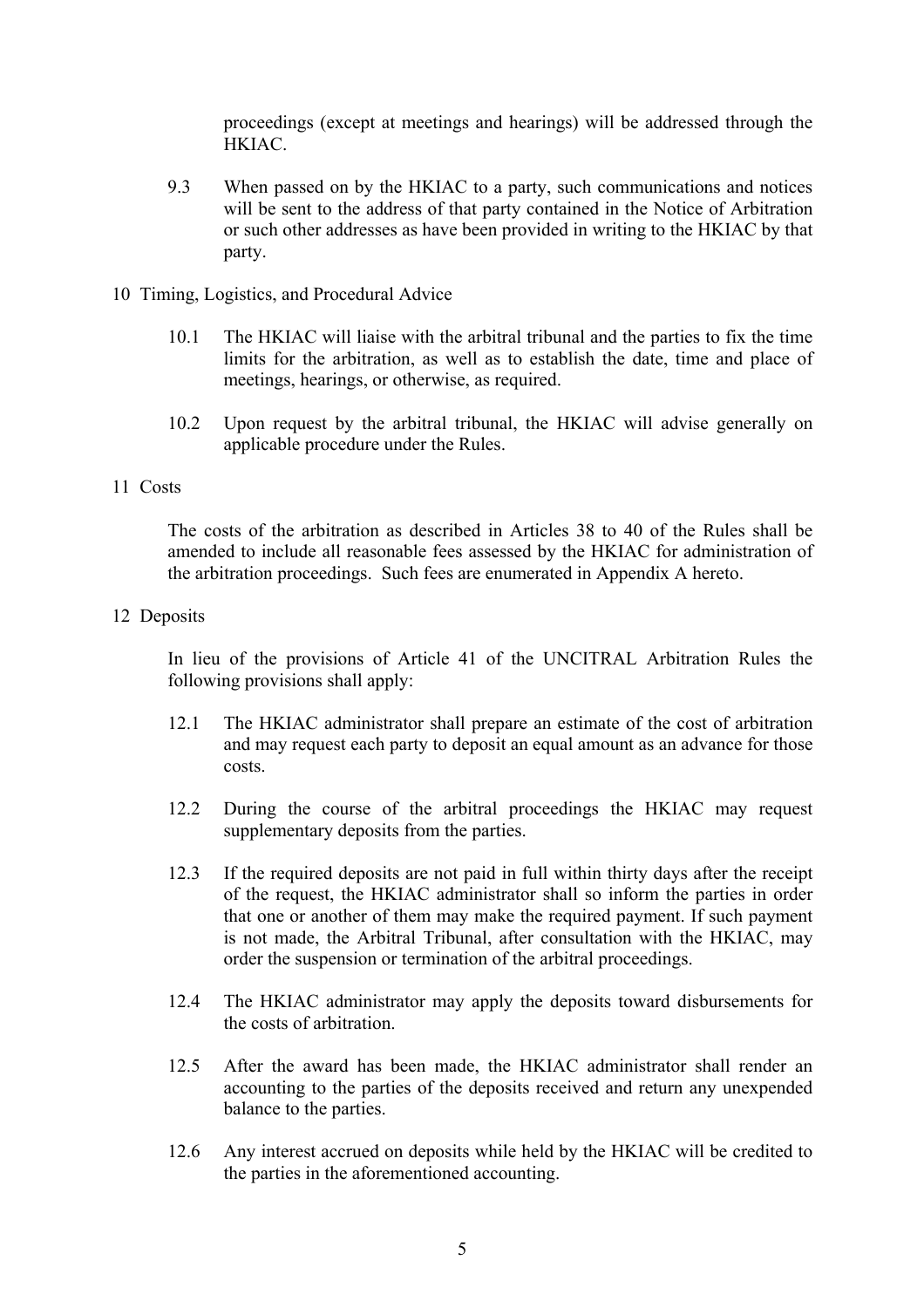proceedings (except at meetings and hearings) will be addressed through the HKIAC.

- 9.3 When passed on by the HKIAC to a party, such communications and notices will be sent to the address of that party contained in the Notice of Arbitration or such other addresses as have been provided in writing to the HKIAC by that party.
- 10 Timing, Logistics, and Procedural Advice
	- 10.1 The HKIAC will liaise with the arbitral tribunal and the parties to fix the time limits for the arbitration, as well as to establish the date, time and place of meetings, hearings, or otherwise, as required.
	- 10.2 Upon request by the arbitral tribunal, the HKIAC will advise generally on applicable procedure under the Rules.

## 11 Costs

The costs of the arbitration as described in Articles 38 to 40 of the Rules shall be amended to include all reasonable fees assessed by the HKIAC for administration of the arbitration proceedings. Such fees are enumerated in Appendix A hereto.

12 Deposits

In lieu of the provisions of Article 41 of the UNCITRAL Arbitration Rules the following provisions shall apply:

- 12.1 The HKIAC administrator shall prepare an estimate of the cost of arbitration and may request each party to deposit an equal amount as an advance for those costs.
- 12.2 During the course of the arbitral proceedings the HKIAC may request supplementary deposits from the parties.
- 12.3 If the required deposits are not paid in full within thirty days after the receipt of the request, the HKIAC administrator shall so inform the parties in order that one or another of them may make the required payment. If such payment is not made, the Arbitral Tribunal, after consultation with the HKIAC, may order the suspension or termination of the arbitral proceedings.
- 12.4 The HKIAC administrator may apply the deposits toward disbursements for the costs of arbitration.
- 12.5 After the award has been made, the HKIAC administrator shall render an accounting to the parties of the deposits received and return any unexpended balance to the parties.
- 12.6 Any interest accrued on deposits while held by the HKIAC will be credited to the parties in the aforementioned accounting.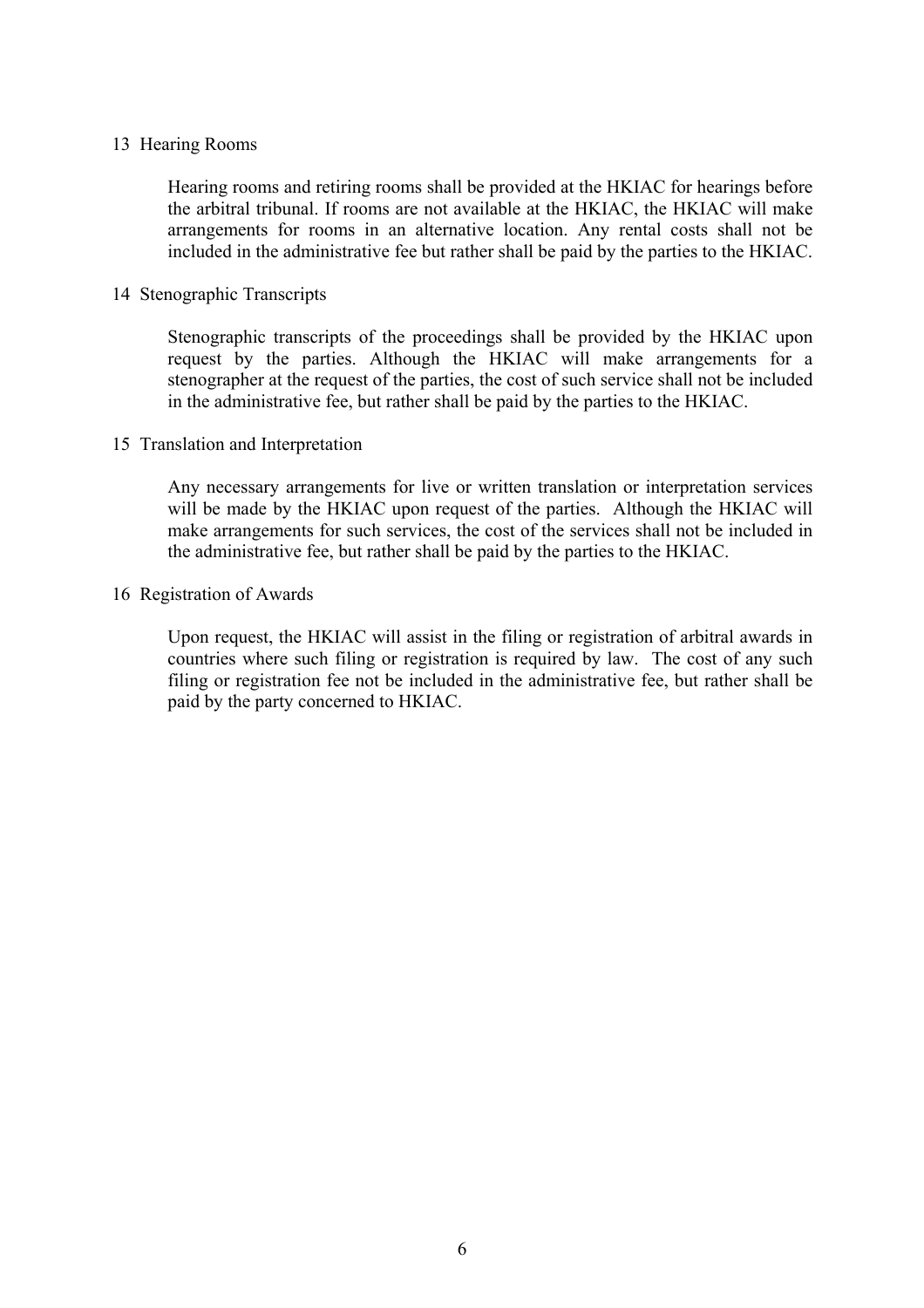## 13 Hearing Rooms

Hearing rooms and retiring rooms shall be provided at the HKIAC for hearings before the arbitral tribunal. If rooms are not available at the HKIAC, the HKIAC will make arrangements for rooms in an alternative location. Any rental costs shall not be included in the administrative fee but rather shall be paid by the parties to the HKIAC.

## 14 Stenographic Transcripts

Stenographic transcripts of the proceedings shall be provided by the HKIAC upon request by the parties. Although the HKIAC will make arrangements for a stenographer at the request of the parties, the cost of such service shall not be included in the administrative fee, but rather shall be paid by the parties to the HKIAC.

## 15 Translation and Interpretation

Any necessary arrangements for live or written translation or interpretation services will be made by the HKIAC upon request of the parties. Although the HKIAC will make arrangements for such services, the cost of the services shall not be included in the administrative fee, but rather shall be paid by the parties to the HKIAC.

## 16 Registration of Awards

Upon request, the HKIAC will assist in the filing or registration of arbitral awards in countries where such filing or registration is required by law. The cost of any such filing or registration fee not be included in the administrative fee, but rather shall be paid by the party concerned to HKIAC.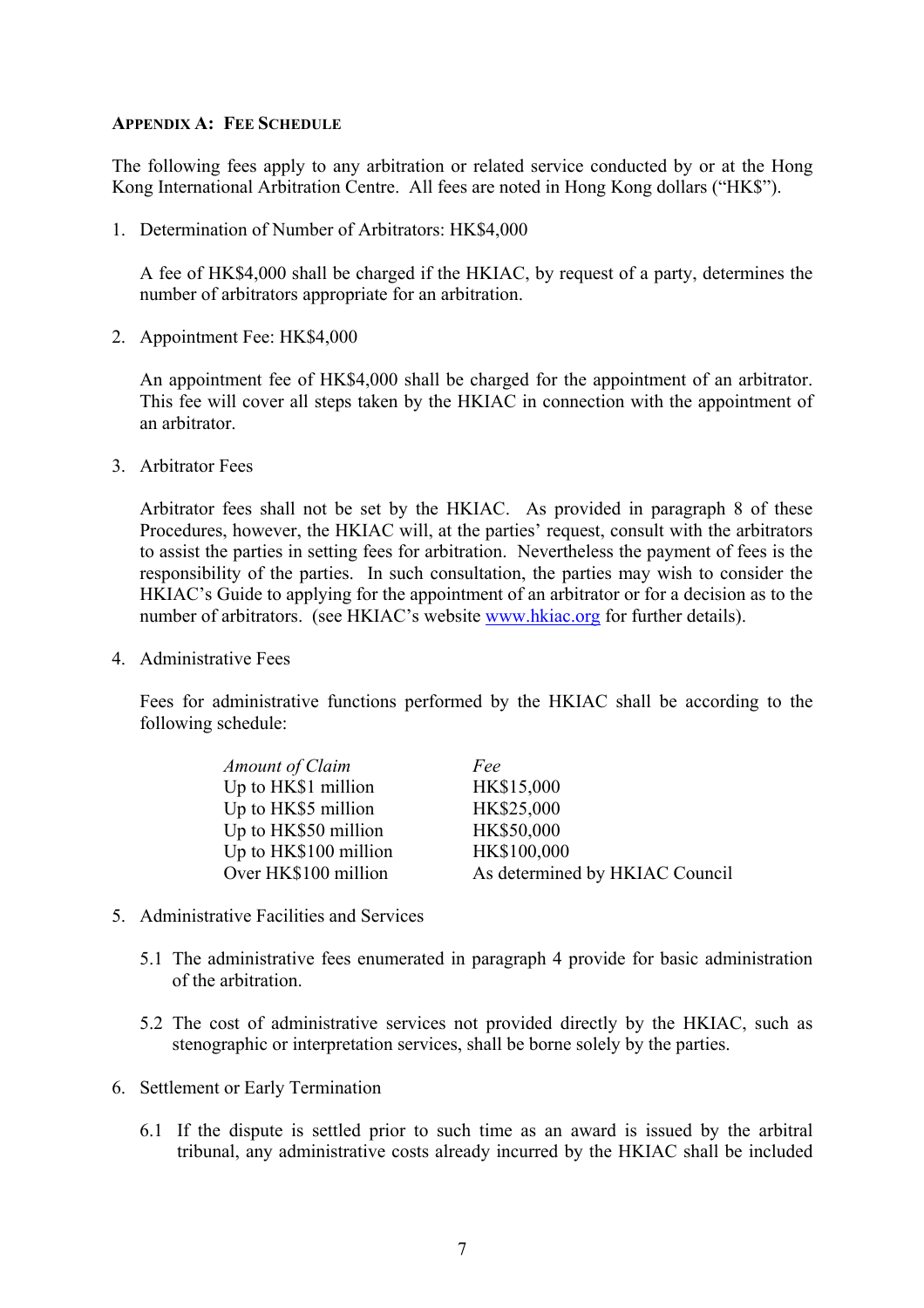## **APPENDIX A: FEE SCHEDULE**

The following fees apply to any arbitration or related service conducted by or at the Hong Kong International Arbitration Centre. All fees are noted in Hong Kong dollars ("HK\$").

1. Determination of Number of Arbitrators: HK\$4,000

A fee of HK\$4,000 shall be charged if the HKIAC, by request of a party, determines the number of arbitrators appropriate for an arbitration.

2. Appointment Fee: HK\$4,000

An appointment fee of HK\$4,000 shall be charged for the appointment of an arbitrator. This fee will cover all steps taken by the HKIAC in connection with the appointment of an arbitrator.

3. Arbitrator Fees

Arbitrator fees shall not be set by the HKIAC. As provided in paragraph 8 of these Procedures, however, the HKIAC will, at the parties' request, consult with the arbitrators to assist the parties in setting fees for arbitration. Nevertheless the payment of fees is the responsibility of the parties. In such consultation, the parties may wish to consider the HKIAC's Guide to applying for the appointment of an arbitrator or for a decision as to the number of arbitrators. (see HKIAC's website [www.hkiac.org](http://www.hkiac.org/) for further details).

4. Administrative Fees

Fees for administrative functions performed by the HKIAC shall be according to the following schedule:

| Amount of Claim       | Fee                            |
|-----------------------|--------------------------------|
| Up to HK\$1 million   | HK\$15,000                     |
| Up to HK\$5 million   | HK\$25,000                     |
| Up to HK\$50 million  | HK\$50,000                     |
| Up to HK\$100 million | HK\$100,000                    |
| Over HK\$100 million  | As determined by HKIAC Council |

- 5. Administrative Facilities and Services
	- 5.1 The administrative fees enumerated in paragraph 4 provide for basic administration of the arbitration.
	- 5.2 The cost of administrative services not provided directly by the HKIAC, such as stenographic or interpretation services, shall be borne solely by the parties.
- 6. Settlement or Early Termination
	- 6.1 If the dispute is settled prior to such time as an award is issued by the arbitral tribunal, any administrative costs already incurred by the HKIAC shall be included